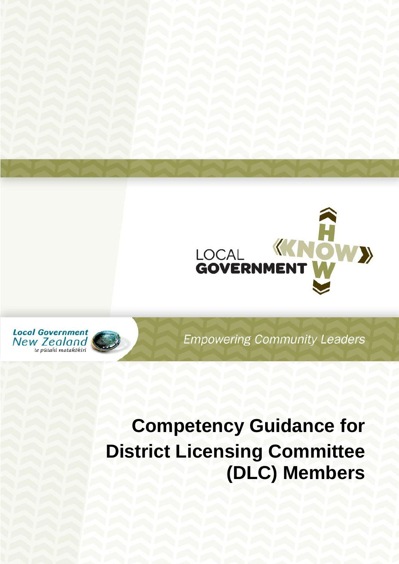



**Empowering Community Leaders** 

# **Competency Guidance for District Licensing Committee (DLC) Members**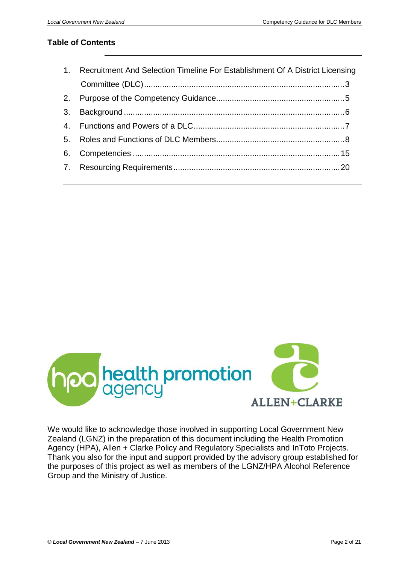#### **Table of Contents**

| 1. Recruitment And Selection Timeline For Establishment Of A District Licensing |  |  |
|---------------------------------------------------------------------------------|--|--|
|                                                                                 |  |  |
|                                                                                 |  |  |
|                                                                                 |  |  |
|                                                                                 |  |  |
|                                                                                 |  |  |
|                                                                                 |  |  |
|                                                                                 |  |  |



We would like to acknowledge those involved in supporting Local Government New Zealand (LGNZ) in the preparation of this document including the Health Promotion Agency (HPA), Allen + Clarke Policy and Regulatory Specialists and InToto Projects. Thank you also for the input and support provided by the advisory group established for the purposes of this project as well as members of the LGNZ/HPA Alcohol Reference Group and the Ministry of Justice.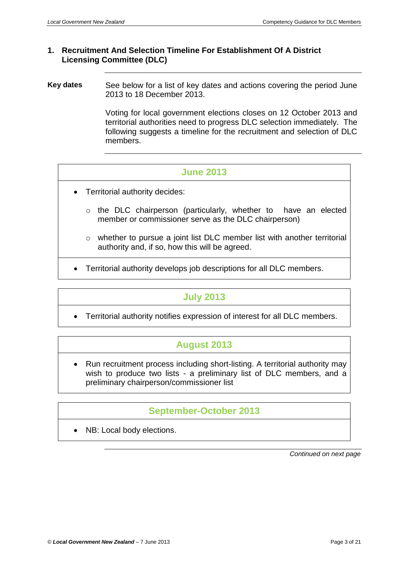## <span id="page-2-0"></span>**1. Recruitment And Selection Timeline For Establishment Of A District Licensing Committee (DLC)**

**Key dates** See below for a list of key dates and actions covering the period June 2013 to 18 December 2013.

> Voting for local government elections closes on 12 October 2013 and territorial authorities need to progress DLC selection immediately. The following suggests a timeline for the recruitment and selection of DLC members.

# **June 2013**

- Territorial authority decides:
	- o the DLC chairperson (particularly, whether to have an elected member or commissioner serve as the DLC chairperson)
	- o whether to pursue a joint list DLC member list with another territorial authority and, if so, how this will be agreed.
- Territorial authority develops job descriptions for all DLC members.

# **July 2013**

Territorial authority notifies expression of interest for all DLC members.

# **August 2013**

 Run recruitment process including short-listing. A territorial authority may wish to produce two lists - a preliminary list of DLC members, and a preliminary chairperson/commissioner list

# **September-October 2013**

NB: Local body elections.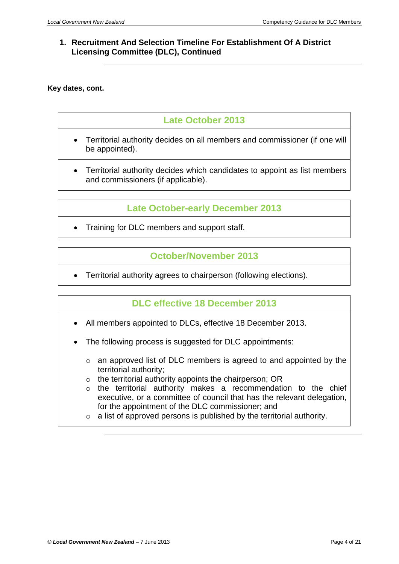## **1. Recruitment And Selection Timeline For Establishment Of A District Licensing Committee (DLC), Continued**

#### **Key dates, cont.**

# **Late October 2013**

- Territorial authority decides on all members and commissioner (if one will be appointed).
- Territorial authority decides which candidates to appoint as list members and commissioners (if applicable).

# **Late October-early December 2013**

Training for DLC members and support staff.

# **October/November 2013**

Territorial authority agrees to chairperson (following elections).

# **DLC effective 18 December 2013**

- All members appointed to DLCs, effective 18 December 2013.
- The following process is suggested for DLC appointments:
	- o an approved list of DLC members is agreed to and appointed by the territorial authority;
	- o the territorial authority appoints the chairperson; OR
	- o the territorial authority makes a recommendation to the chief executive, or a committee of council that has the relevant delegation, for the appointment of the DLC commissioner; and
	- $\circ$  a list of approved persons is published by the territorial authority.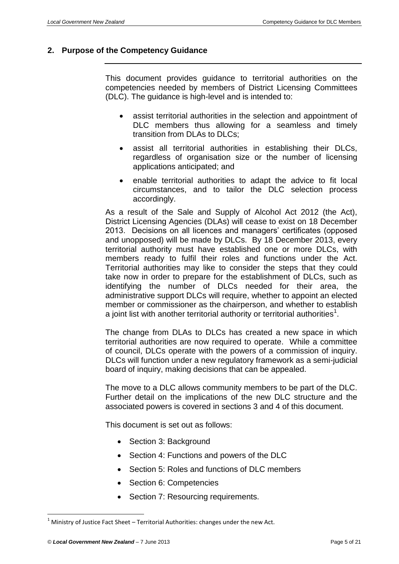#### <span id="page-4-0"></span>**2. Purpose of the Competency Guidance**

This document provides guidance to territorial authorities on the competencies needed by members of District Licensing Committees (DLC). The guidance is high-level and is intended to:

- assist territorial authorities in the selection and appointment of DLC members thus allowing for a seamless and timely transition from DLAs to DLCs;
- assist all territorial authorities in establishing their DLCs, regardless of organisation size or the number of licensing applications anticipated; and
- enable territorial authorities to adapt the advice to fit local circumstances, and to tailor the DLC selection process accordingly.

As a result of the Sale and Supply of Alcohol Act 2012 (the Act), District Licensing Agencies (DLAs) will cease to exist on 18 December 2013. Decisions on all licences and managers' certificates (opposed and unopposed) will be made by DLCs. By 18 December 2013, every territorial authority must have established one or more DLCs, with members ready to fulfil their roles and functions under the Act. Territorial authorities may like to consider the steps that they could take now in order to prepare for the establishment of DLCs, such as identifying the number of DLCs needed for their area, the administrative support DLCs will require, whether to appoint an elected member or commissioner as the chairperson, and whether to establish a joint list with another territorial authority or territorial authorities<sup>1</sup>.

The change from DLAs to DLCs has created a new space in which territorial authorities are now required to operate. While a committee of council, DLCs operate with the powers of a commission of inquiry. DLCs will function under a new regulatory framework as a semi-judicial board of inquiry, making decisions that can be appealed.

The move to a DLC allows community members to be part of the DLC. Further detail on the implications of the new DLC structure and the associated powers is covered in sections 3 and 4 of this document.

This document is set out as follows:

- Section 3: Background
- Section 4: Functions and powers of the DLC
- Section 5: Roles and functions of DLC members
- Section 6: Competencies
- Section 7: Resourcing requirements.

 $1$  Ministry of Justice Fact Sheet – Territorial Authorities: changes under the new Act.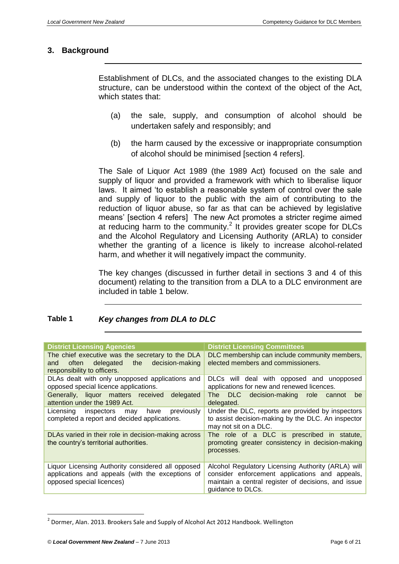#### <span id="page-5-0"></span>**3. Background**

Establishment of DLCs, and the associated changes to the existing DLA structure, can be understood within the context of the object of the Act, which states that:

- (a) the sale, supply, and consumption of alcohol should be undertaken safely and responsibly; and
- (b) the harm caused by the excessive or inappropriate consumption of alcohol should be minimised [section 4 refers].

The Sale of Liquor Act 1989 (the 1989 Act) focused on the sale and supply of liquor and provided a framework with which to liberalise liquor laws. It aimed 'to establish a reasonable system of control over the sale and supply of liquor to the public with the aim of contributing to the reduction of liquor abuse, so far as that can be achieved by legislative means' [section 4 refers] The new Act promotes a stricter regime aimed at reducing harm to the community.<sup>2</sup> It provides greater scope for DLCs and the Alcohol Regulatory and Licensing Authority (ARLA) to consider whether the granting of a licence is likely to increase alcohol-related harm, and whether it will negatively impact the community.

The key changes (discussed in further detail in sections 3 and 4 of this document) relating to the transition from a DLA to a DLC environment are included in table 1 below.

| Table 1 | Key changes from DLA to DLC |  |
|---------|-----------------------------|--|
|---------|-----------------------------|--|

| <b>District Licensing Agencies</b>                                                                                                 | <b>District Licensing Committees</b>                                                                                                                                             |  |  |
|------------------------------------------------------------------------------------------------------------------------------------|----------------------------------------------------------------------------------------------------------------------------------------------------------------------------------|--|--|
| The chief executive was the secretary to the DLA<br>often delegated the decision-making<br>and<br>responsibility to officers.      | DLC membership can include community members,<br>elected members and commissioners.                                                                                              |  |  |
| DLAs dealt with only unopposed applications and<br>opposed special licence applications.                                           | DLCs will deal with opposed and unopposed<br>applications for new and renewed licences.                                                                                          |  |  |
| Generally, liquor matters received delegated<br>attention under the 1989 Act.                                                      | The DLC decision-making role<br>cannot<br>be<br>delegated.                                                                                                                       |  |  |
| Licensing inspectors may have previously<br>completed a report and decided applications.                                           | Under the DLC, reports are provided by inspectors<br>to assist decision-making by the DLC. An inspector<br>may not sit on a DLC.                                                 |  |  |
| DLAs varied in their role in decision-making across<br>the country's territorial authorities.                                      | The role of a DLC is prescribed in statute,<br>promoting greater consistency in decision-making<br>processes.                                                                    |  |  |
| Liquor Licensing Authority considered all opposed<br>applications and appeals (with the exceptions of<br>opposed special licences) | Alcohol Regulatory Licensing Authority (ARLA) will<br>consider enforcement applications and appeals,<br>maintain a central register of decisions, and issue<br>quidance to DLCs. |  |  |

 $^{2}$  Dormer, Alan. 2013. Brookers Sale and Supply of Alcohol Act 2012 Handbook. Wellington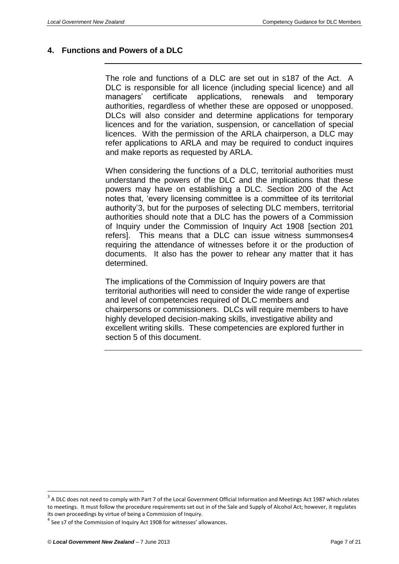#### <span id="page-6-0"></span>**4. Functions and Powers of a DLC**

The role and functions of a DLC are set out in s187 of the Act. A DLC is responsible for all licence (including special licence) and all managers' certificate applications, renewals and temporary authorities, regardless of whether these are opposed or unopposed. DLCs will also consider and determine applications for temporary licences and for the variation, suspension, or cancellation of special licences. With the permission of the ARLA chairperson, a DLC may refer applications to ARLA and may be required to conduct inquires and make reports as requested by ARLA.

When considering the functions of a DLC, territorial authorities must understand the powers of the DLC and the implications that these powers may have on establishing a DLC. Section 200 of the Act notes that, 'every licensing committee is a committee of its territorial authority'3, but for the purposes of selecting DLC members, territorial authorities should note that a DLC has the powers of a Commission of Inquiry under the Commission of Inquiry Act 1908 [section 201 refers]. This means that a DLC can issue witness summonses4 requiring the attendance of witnesses before it or the production of documents. It also has the power to rehear any matter that it has determined.

The implications of the Commission of Inquiry powers are that territorial authorities will need to consider the wide range of expertise and level of competencies required of DLC members and chairpersons or commissioners. DLCs will require members to have highly developed decision-making skills, investigative ability and excellent writing skills. These competencies are explored further in section 5 of this document.

 $^3$  A DLC does not need to comply with Part 7 of the Local Government Official Information and Meetings Act 1987 which relates to meetings. It must follow the procedure requirements set out in of the Sale and Supply of Alcohol Act; however, it regulates its own proceedings by virtue of being a Commission of Inquiry.

 $^4$  See s7 of the Commission of Inquiry Act 1908 for witnesses' allowances.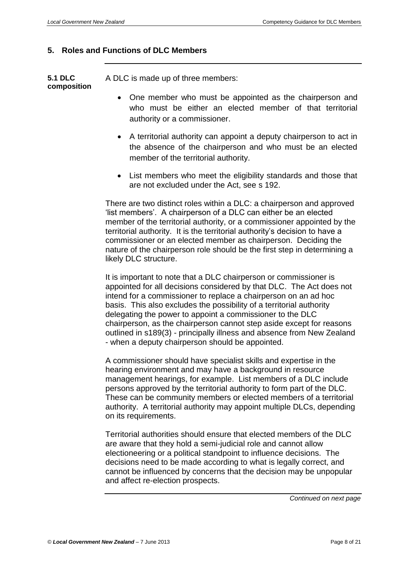#### <span id="page-7-0"></span>**5. Roles and Functions of DLC Members**

**5.1 DLC composition** A DLC is made up of three members:

- One member who must be appointed as the chairperson and who must be either an elected member of that territorial authority or a commissioner.
- A territorial authority can appoint a deputy chairperson to act in the absence of the chairperson and who must be an elected member of the territorial authority.
- List members who meet the eligibility standards and those that are not excluded under the Act, see s 192.

There are two distinct roles within a DLC: a chairperson and approved 'list members'. A chairperson of a DLC can either be an elected member of the territorial authority, or a commissioner appointed by the territorial authority. It is the territorial authority's decision to have a commissioner or an elected member as chairperson. Deciding the nature of the chairperson role should be the first step in determining a likely DLC structure.

It is important to note that a DLC chairperson or commissioner is appointed for all decisions considered by that DLC. The Act does not intend for a commissioner to replace a chairperson on an ad hoc basis. This also excludes the possibility of a territorial authority delegating the power to appoint a commissioner to the DLC chairperson, as the chairperson cannot step aside except for reasons outlined in s189(3) - principally illness and absence from New Zealand - when a deputy chairperson should be appointed.

A commissioner should have specialist skills and expertise in the hearing environment and may have a background in resource management hearings, for example. List members of a DLC include persons approved by the territorial authority to form part of the DLC. These can be community members or elected members of a territorial authority. A territorial authority may appoint multiple DLCs, depending on its requirements.

Territorial authorities should ensure that elected members of the DLC are aware that they hold a semi-judicial role and cannot allow electioneering or a political standpoint to influence decisions. The decisions need to be made according to what is legally correct, and cannot be influenced by concerns that the decision may be unpopular and affect re-election prospects.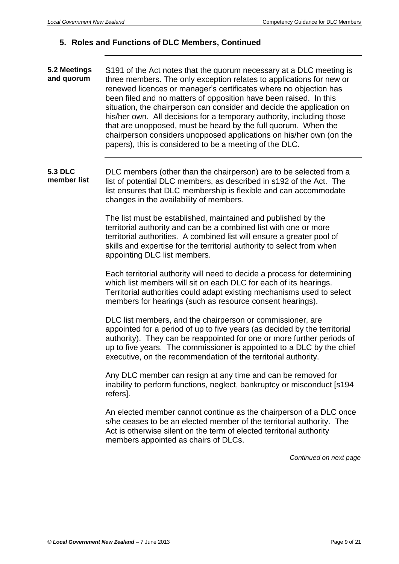**5.2 Meetings and quorum** S191 of the Act notes that the quorum necessary at a DLC meeting is three members. The only exception relates to applications for new or renewed licences or manager's certificates where no objection has been filed and no matters of opposition have been raised. In this situation, the chairperson can consider and decide the application on his/her own. All decisions for a temporary authority, including those that are unopposed, must be heard by the full quorum. When the chairperson considers unopposed applications on his/her own (on the papers), this is considered to be a meeting of the DLC.

**5.3 DLC member list** DLC members (other than the chairperson) are to be selected from a list of potential DLC members, as described in s192 of the Act. The list ensures that DLC membership is flexible and can accommodate changes in the availability of members.

> The list must be established, maintained and published by the territorial authority and can be a combined list with one or more territorial authorities. A combined list will ensure a greater pool of skills and expertise for the territorial authority to select from when appointing DLC list members.

Each territorial authority will need to decide a process for determining which list members will sit on each DLC for each of its hearings. Territorial authorities could adapt existing mechanisms used to select members for hearings (such as resource consent hearings).

DLC list members, and the chairperson or commissioner, are appointed for a period of up to five years (as decided by the territorial authority). They can be reappointed for one or more further periods of up to five years. The commissioner is appointed to a DLC by the chief executive, on the recommendation of the territorial authority.

Any DLC member can resign at any time and can be removed for inability to perform functions, neglect, bankruptcy or misconduct [s194 refers].

An elected member cannot continue as the chairperson of a DLC once s/he ceases to be an elected member of the territorial authority. The Act is otherwise silent on the term of elected territorial authority members appointed as chairs of DLCs.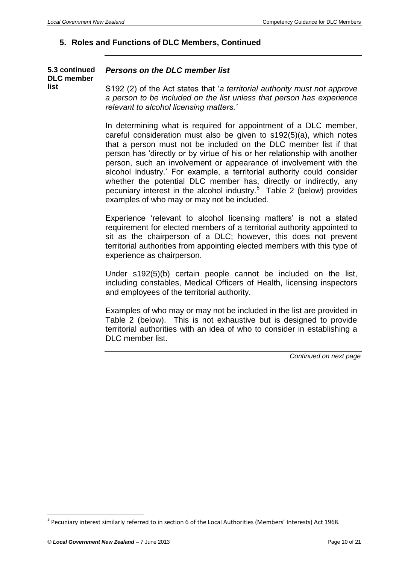| 5.3 continued<br><b>DLC</b> member | Persons on the DLC member list                                                                                                                                                                |
|------------------------------------|-----------------------------------------------------------------------------------------------------------------------------------------------------------------------------------------------|
| list                               | S192 (2) of the Act states that 'a territorial authority must not approve<br>a person to be included on the list unless that person has experience<br>relevant to alcohol licensing matters.' |

In determining what is required for appointment of a DLC member, careful consideration must also be given to s192(5)(a), which notes that a person must not be included on the DLC member list if that person has 'directly or by virtue of his or her relationship with another person, such an involvement or appearance of involvement with the alcohol industry.' For example, a territorial authority could consider whether the potential DLC member has, directly or indirectly, any pecuniary interest in the alcohol industry.<sup>5</sup> Table 2 (below) provides examples of who may or may not be included.

Experience 'relevant to alcohol licensing matters' is not a stated requirement for elected members of a territorial authority appointed to sit as the chairperson of a DLC; however, this does not prevent territorial authorities from appointing elected members with this type of experience as chairperson.

Under s192(5)(b) certain people cannot be included on the list, including constables, Medical Officers of Health, licensing inspectors and employees of the territorial authority.

Examples of who may or may not be included in the list are provided in Table 2 (below). This is not exhaustive but is designed to provide territorial authorities with an idea of who to consider in establishing a DLC member list.

*Continued on next page*

<sup>&</sup>lt;sup>5</sup> Pecuniary interest similarly referred to in section 6 of the Local Authorities (Members' Interests) Act 1968.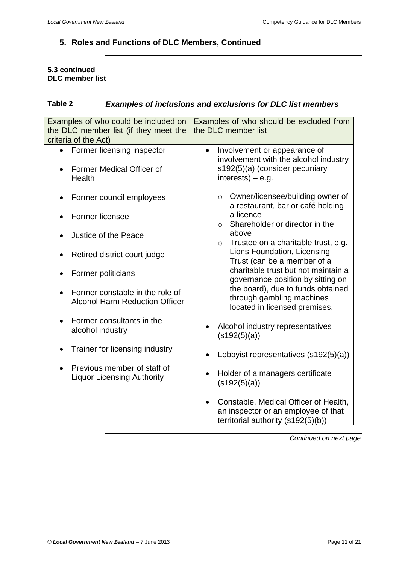#### **5.3 continued DLC member list**

## **Table 2** *Examples of inclusions and exclusions for DLC list members*

| Examples of who could be included on<br>the DLC member list (if they meet the<br>criteria of the Act) | Examples of who should be excluded from<br>the DLC member list                                                                              |  |  |
|-------------------------------------------------------------------------------------------------------|---------------------------------------------------------------------------------------------------------------------------------------------|--|--|
| Former licensing inspector<br><b>Former Medical Officer of</b><br>Health                              | Involvement or appearance of<br>$\bullet$<br>involvement with the alcohol industry<br>s192(5)(a) (consider pecuniary<br>$interests) - e.g.$ |  |  |
| Former council employees                                                                              | Owner/licensee/building owner of<br>$\circ$<br>a restaurant, bar or café holding                                                            |  |  |
| Former licensee                                                                                       | a licence<br>Shareholder or director in the<br>$\circ$                                                                                      |  |  |
| Justice of the Peace                                                                                  | above<br>Trustee on a charitable trust, e.g.<br>$\circ$                                                                                     |  |  |
| Retired district court judge                                                                          | Lions Foundation, Licensing<br>Trust (can be a member of a                                                                                  |  |  |
| Former politicians                                                                                    | charitable trust but not maintain a<br>governance position by sitting on                                                                    |  |  |
| Former constable in the role of<br><b>Alcohol Harm Reduction Officer</b>                              | the board), due to funds obtained<br>through gambling machines<br>located in licensed premises.                                             |  |  |
| Former consultants in the<br>alcohol industry                                                         | Alcohol industry representatives<br>(s192(5)(a))                                                                                            |  |  |
| Trainer for licensing industry                                                                        | Lobbyist representatives (s192(5)(a))                                                                                                       |  |  |
| Previous member of staff of<br><b>Liquor Licensing Authority</b>                                      | Holder of a managers certificate<br>(s192(5)(a))                                                                                            |  |  |
|                                                                                                       | Constable, Medical Officer of Health,<br>an inspector or an employee of that<br>territorial authority (s192(5)(b))                          |  |  |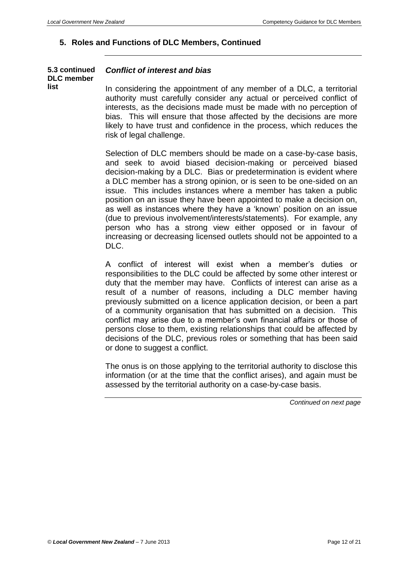#### **5.3 continued DLC member list**

#### *Conflict of interest and bias*

In considering the appointment of any member of a DLC, a territorial authority must carefully consider any actual or perceived conflict of interests, as the decisions made must be made with no perception of bias. This will ensure that those affected by the decisions are more likely to have trust and confidence in the process, which reduces the risk of legal challenge.

Selection of DLC members should be made on a case-by-case basis, and seek to avoid biased decision-making or perceived biased decision-making by a DLC. Bias or predetermination is evident where a DLC member has a strong opinion, or is seen to be one-sided on an issue. This includes instances where a member has taken a public position on an issue they have been appointed to make a decision on, as well as instances where they have a 'known' position on an issue (due to previous involvement/interests/statements). For example, any person who has a strong view either opposed or in favour of increasing or decreasing licensed outlets should not be appointed to a DLC.

A conflict of interest will exist when a member's duties or responsibilities to the DLC could be affected by some other interest or duty that the member may have. Conflicts of interest can arise as a result of a number of reasons, including a DLC member having previously submitted on a licence application decision, or been a part of a community organisation that has submitted on a decision. This conflict may arise due to a member's own financial affairs or those of persons close to them, existing relationships that could be affected by decisions of the DLC, previous roles or something that has been said or done to suggest a conflict.

The onus is on those applying to the territorial authority to disclose this information (or at the time that the conflict arises), and again must be assessed by the territorial authority on a case-by-case basis.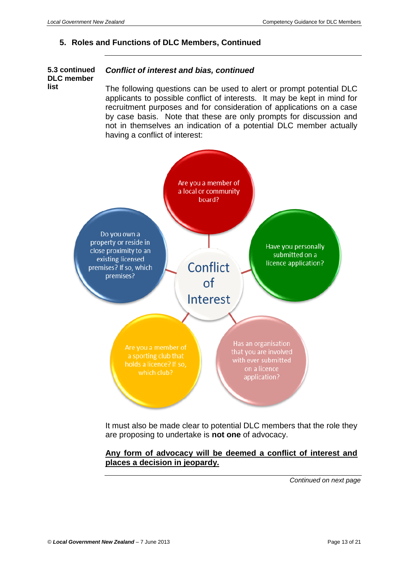**list** 

## **5. Roles and Functions of DLC Members, Continued**

#### **5.3 continued DLC member**  *Conflict of interest and bias, continued*

The following questions can be used to alert or prompt potential DLC applicants to possible conflict of interests. It may be kept in mind for recruitment purposes and for consideration of applications on a case by case basis. Note that these are only prompts for discussion and not in themselves an indication of a potential DLC member actually having a conflict of interest:



It must also be made clear to potential DLC members that the role they are proposing to undertake is **not one** of advocacy.

#### **Any form of advocacy will be deemed a conflict of interest and places a decision in jeopardy.**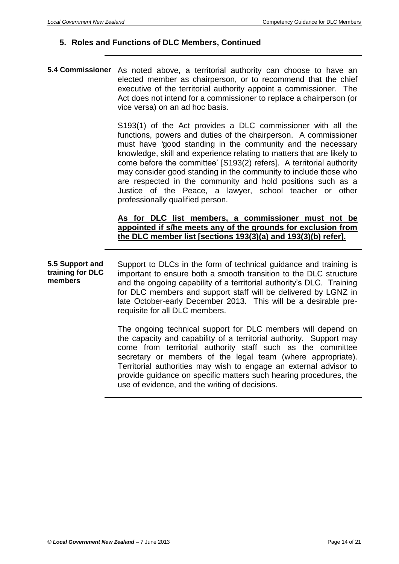**5.4 Commissioner** As noted above, a territorial authority can choose to have an elected member as chairperson, or to recommend that the chief executive of the territorial authority appoint a commissioner. The Act does not intend for a commissioner to replace a chairperson (or vice versa) on an ad hoc basis.

> S193(1) of the Act provides a DLC commissioner with all the functions, powers and duties of the chairperson. A commissioner must have *'*good standing in the community and the necessary knowledge, skill and experience relating to matters that are likely to come before the committee' [S193(2) refers]. A territorial authority may consider good standing in the community to include those who are respected in the community and hold positions such as a Justice of the Peace, a lawyer, school teacher or other professionally qualified person.

#### **As for DLC list members, a commissioner must not be appointed if s/he meets any of the grounds for exclusion from the DLC member list [sections 193(3)(a) and 193(3)(b) refer].**

**5.5 Support and training for DLC members**  Support to DLCs in the form of technical guidance and training is important to ensure both a smooth transition to the DLC structure and the ongoing capability of a territorial authority's DLC. Training for DLC members and support staff will be delivered by LGNZ in late October-early December 2013. This will be a desirable prerequisite for all DLC members.

> The ongoing technical support for DLC members will depend on the capacity and capability of a territorial authority. Support may come from territorial authority staff such as the committee secretary or members of the legal team (where appropriate). Territorial authorities may wish to engage an external advisor to provide guidance on specific matters such hearing procedures, the use of evidence, and the writing of decisions.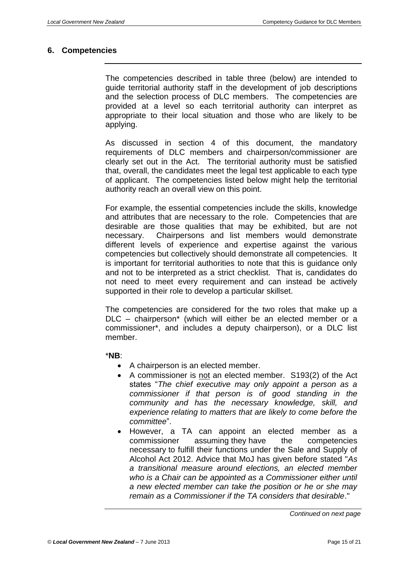#### <span id="page-14-0"></span>**6. Competencies**

The competencies described in table three (below) are intended to guide territorial authority staff in the development of job descriptions and the selection process of DLC members. The competencies are provided at a level so each territorial authority can interpret as appropriate to their local situation and those who are likely to be applying.

As discussed in section 4 of this document, the mandatory requirements of DLC members and chairperson/commissioner are clearly set out in the Act. The territorial authority must be satisfied that, overall, the candidates meet the legal test applicable to each type of applicant. The competencies listed below might help the territorial authority reach an overall view on this point.

For example, the essential competencies include the skills, knowledge and attributes that are necessary to the role. Competencies that are desirable are those qualities that may be exhibited, but are not necessary. Chairpersons and list members would demonstrate different levels of experience and expertise against the various competencies but collectively should demonstrate all competencies. It is important for territorial authorities to note that this is guidance only and not to be interpreted as a strict checklist. That is, candidates do not need to meet every requirement and can instead be actively supported in their role to develop a particular skillset.

The competencies are considered for the two roles that make up a DLC – chairperson\* (which will either be an elected member or a commissioner\*, and includes a deputy chairperson), or a DLC list member.

#### \***NB**:

- A chairperson is an elected member.
- A commissioner is not an elected member. S193(2) of the Act states "*The chief executive may only appoint a person as a commissioner if that person is of good standing in the community and has the necessary knowledge, skill, and experience relating to matters that are likely to come before the committee*".
- However, a TA can appoint an elected member as a commissioner assuming they have the competencies necessary to fulfill their functions under the Sale and Supply of Alcohol Act 2012. Advice that MoJ has given before stated "*As a transitional measure around elections, an elected member who is a Chair can be appointed as a Commissioner either until a new elected member can take the position or he or she may remain as a Commissioner if the TA considers that desirable*."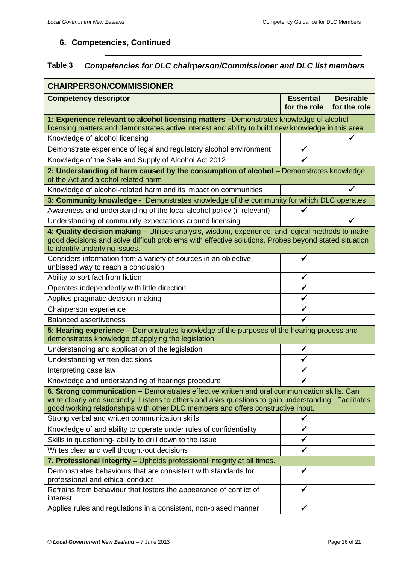# **Table 3** *Competencies for DLC chairperson/Commissioner and DLC list members*

| <b>CHAIRPERSON/COMMISSIONER</b>                                                                                                                                                                                                                                                          |                                  |                                  |  |  |  |
|------------------------------------------------------------------------------------------------------------------------------------------------------------------------------------------------------------------------------------------------------------------------------------------|----------------------------------|----------------------------------|--|--|--|
| <b>Competency descriptor</b>                                                                                                                                                                                                                                                             | <b>Essential</b><br>for the role | <b>Desirable</b><br>for the role |  |  |  |
| 1: Experience relevant to alcohol licensing matters -Demonstrates knowledge of alcohol<br>licensing matters and demonstrates active interest and ability to build new knowledge in this area                                                                                             |                                  |                                  |  |  |  |
| Knowledge of alcohol licensing                                                                                                                                                                                                                                                           |                                  | ✓                                |  |  |  |
| Demonstrate experience of legal and regulatory alcohol environment                                                                                                                                                                                                                       | ✔                                |                                  |  |  |  |
| Knowledge of the Sale and Supply of Alcohol Act 2012                                                                                                                                                                                                                                     | ✓                                |                                  |  |  |  |
| 2: Understanding of harm caused by the consumption of alcohol - Demonstrates knowledge<br>of the Act and alcohol related harm                                                                                                                                                            |                                  |                                  |  |  |  |
| Knowledge of alcohol-related harm and its impact on communities                                                                                                                                                                                                                          |                                  |                                  |  |  |  |
| 3: Community knowledge - Demonstrates knowledge of the community for which DLC operates                                                                                                                                                                                                  |                                  |                                  |  |  |  |
| Awareness and understanding of the local alcohol policy (if relevant)                                                                                                                                                                                                                    | ✓                                |                                  |  |  |  |
| Understanding of community expectations around licensing                                                                                                                                                                                                                                 |                                  |                                  |  |  |  |
| 4: Quality decision making - Utilises analysis, wisdom, experience, and logical methods to make<br>good decisions and solve difficult problems with effective solutions. Probes beyond stated situation<br>to identify underlying issues.                                                |                                  |                                  |  |  |  |
| Considers information from a variety of sources in an objective,<br>unbiased way to reach a conclusion                                                                                                                                                                                   | ✓                                |                                  |  |  |  |
| Ability to sort fact from fiction                                                                                                                                                                                                                                                        | ✔                                |                                  |  |  |  |
| Operates independently with little direction                                                                                                                                                                                                                                             | ✓                                |                                  |  |  |  |
| Applies pragmatic decision-making                                                                                                                                                                                                                                                        | ✓                                |                                  |  |  |  |
| Chairperson experience                                                                                                                                                                                                                                                                   | ✓                                |                                  |  |  |  |
| <b>Balanced assertiveness</b>                                                                                                                                                                                                                                                            |                                  |                                  |  |  |  |
| 5: Hearing experience - Demonstrates knowledge of the purposes of the hearing process and<br>demonstrates knowledge of applying the legislation                                                                                                                                          |                                  |                                  |  |  |  |
| Understanding and application of the legislation                                                                                                                                                                                                                                         | ✓                                |                                  |  |  |  |
| Understanding written decisions                                                                                                                                                                                                                                                          |                                  |                                  |  |  |  |
| Interpreting case law                                                                                                                                                                                                                                                                    | √                                |                                  |  |  |  |
| Knowledge and understanding of hearings procedure                                                                                                                                                                                                                                        |                                  |                                  |  |  |  |
| 6. Strong communication - Demonstrates effective written and oral communication skills. Can<br>write clearly and succinctly. Listens to others and asks questions to gain understanding. Facilitates<br>good working relationships with other DLC members and offers constructive input. |                                  |                                  |  |  |  |
| Strong verbal and written communication skills                                                                                                                                                                                                                                           | ✔                                |                                  |  |  |  |
| Knowledge of and ability to operate under rules of confidentiality                                                                                                                                                                                                                       | $\checkmark$                     |                                  |  |  |  |
| Skills in questioning- ability to drill down to the issue                                                                                                                                                                                                                                | ✓                                |                                  |  |  |  |
| Writes clear and well thought-out decisions                                                                                                                                                                                                                                              | ✓                                |                                  |  |  |  |
| 7. Professional integrity - Upholds professional integrity at all times.                                                                                                                                                                                                                 |                                  |                                  |  |  |  |
| Demonstrates behaviours that are consistent with standards for<br>professional and ethical conduct                                                                                                                                                                                       | ✓                                |                                  |  |  |  |
| Refrains from behaviour that fosters the appearance of conflict of<br>interest                                                                                                                                                                                                           | $\checkmark$                     |                                  |  |  |  |
| Applies rules and regulations in a consistent, non-biased manner                                                                                                                                                                                                                         | ✔                                |                                  |  |  |  |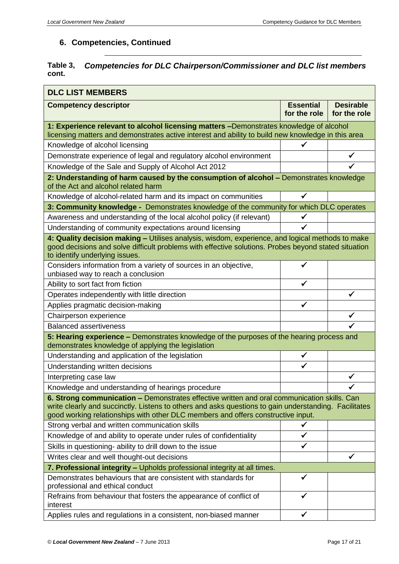#### **Table 3, cont.** *Competencies for DLC Chairperson/Commissioner and DLC list members*

| <b>DLC LIST MEMBERS</b>                                                                                                                                                                                                                                                                  |                                  |                                  |  |  |  |
|------------------------------------------------------------------------------------------------------------------------------------------------------------------------------------------------------------------------------------------------------------------------------------------|----------------------------------|----------------------------------|--|--|--|
| <b>Competency descriptor</b>                                                                                                                                                                                                                                                             | <b>Essential</b><br>for the role | <b>Desirable</b><br>for the role |  |  |  |
| 1: Experience relevant to alcohol licensing matters -Demonstrates knowledge of alcohol<br>licensing matters and demonstrates active interest and ability to build new knowledge in this area                                                                                             |                                  |                                  |  |  |  |
| Knowledge of alcohol licensing                                                                                                                                                                                                                                                           | ✓                                |                                  |  |  |  |
| Demonstrate experience of legal and regulatory alcohol environment                                                                                                                                                                                                                       |                                  |                                  |  |  |  |
| Knowledge of the Sale and Supply of Alcohol Act 2012                                                                                                                                                                                                                                     |                                  |                                  |  |  |  |
| 2: Understanding of harm caused by the consumption of alcohol - Demonstrates knowledge<br>of the Act and alcohol related harm                                                                                                                                                            |                                  |                                  |  |  |  |
| Knowledge of alcohol-related harm and its impact on communities                                                                                                                                                                                                                          | √                                |                                  |  |  |  |
| 3: Community knowledge - Demonstrates knowledge of the community for which DLC operates                                                                                                                                                                                                  |                                  |                                  |  |  |  |
| Awareness and understanding of the local alcohol policy (if relevant)                                                                                                                                                                                                                    | $\checkmark$                     |                                  |  |  |  |
| Understanding of community expectations around licensing                                                                                                                                                                                                                                 | ✓                                |                                  |  |  |  |
| 4: Quality decision making - Utilises analysis, wisdom, experience, and logical methods to make<br>good decisions and solve difficult problems with effective solutions. Probes beyond stated situation<br>to identify underlying issues.                                                |                                  |                                  |  |  |  |
| Considers information from a variety of sources in an objective,<br>unbiased way to reach a conclusion                                                                                                                                                                                   | √                                |                                  |  |  |  |
| Ability to sort fact from fiction                                                                                                                                                                                                                                                        | ✓                                |                                  |  |  |  |
| Operates independently with little direction                                                                                                                                                                                                                                             |                                  |                                  |  |  |  |
| Applies pragmatic decision-making                                                                                                                                                                                                                                                        | $\checkmark$                     |                                  |  |  |  |
| Chairperson experience                                                                                                                                                                                                                                                                   |                                  | ✓                                |  |  |  |
| <b>Balanced assertiveness</b>                                                                                                                                                                                                                                                            |                                  |                                  |  |  |  |
| 5: Hearing experience - Demonstrates knowledge of the purposes of the hearing process and<br>demonstrates knowledge of applying the legislation                                                                                                                                          |                                  |                                  |  |  |  |
| Understanding and application of the legislation                                                                                                                                                                                                                                         | ✔                                |                                  |  |  |  |
| Understanding written decisions                                                                                                                                                                                                                                                          | ✔                                |                                  |  |  |  |
| Interpreting case law                                                                                                                                                                                                                                                                    |                                  |                                  |  |  |  |
| Knowledge and understanding of hearings procedure                                                                                                                                                                                                                                        |                                  |                                  |  |  |  |
| 6. Strong communication - Demonstrates effective written and oral communication skills. Can<br>write clearly and succinctly. Listens to others and asks questions to gain understanding. Facilitates<br>good working relationships with other DLC members and offers constructive input. |                                  |                                  |  |  |  |
| Strong verbal and written communication skills                                                                                                                                                                                                                                           |                                  |                                  |  |  |  |
| Knowledge of and ability to operate under rules of confidentiality                                                                                                                                                                                                                       | $\checkmark$                     |                                  |  |  |  |
| Skills in questioning- ability to drill down to the issue                                                                                                                                                                                                                                | $\checkmark$                     |                                  |  |  |  |
| Writes clear and well thought-out decisions                                                                                                                                                                                                                                              |                                  |                                  |  |  |  |
| 7. Professional integrity - Upholds professional integrity at all times.                                                                                                                                                                                                                 |                                  |                                  |  |  |  |
| Demonstrates behaviours that are consistent with standards for<br>professional and ethical conduct                                                                                                                                                                                       | ✔                                |                                  |  |  |  |
| Refrains from behaviour that fosters the appearance of conflict of<br>interest                                                                                                                                                                                                           | √                                |                                  |  |  |  |
| Applies rules and regulations in a consistent, non-biased manner                                                                                                                                                                                                                         | ✔                                |                                  |  |  |  |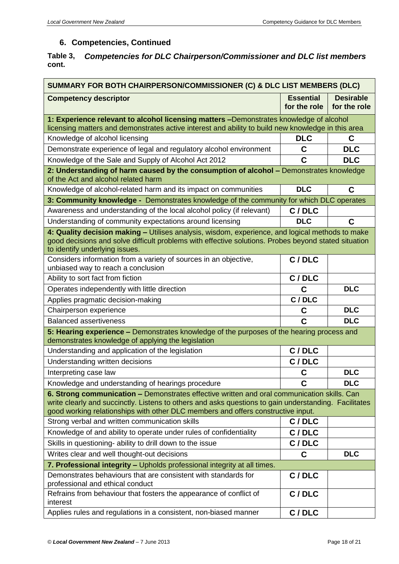#### **Table 3, cont.** *Competencies for DLC Chairperson/Commissioner and DLC list members*

| SUMMARY FOR BOTH CHAIRPERSON/COMMISSIONER (C) & DLC LIST MEMBERS (DLC)                                                                                                                                                                                                                   |                                  |                                  |  |  |
|------------------------------------------------------------------------------------------------------------------------------------------------------------------------------------------------------------------------------------------------------------------------------------------|----------------------------------|----------------------------------|--|--|
| <b>Competency descriptor</b>                                                                                                                                                                                                                                                             | <b>Essential</b><br>for the role | <b>Desirable</b><br>for the role |  |  |
| 1: Experience relevant to alcohol licensing matters -Demonstrates knowledge of alcohol<br>licensing matters and demonstrates active interest and ability to build new knowledge in this area                                                                                             |                                  |                                  |  |  |
| Knowledge of alcohol licensing                                                                                                                                                                                                                                                           | <b>DLC</b>                       | C                                |  |  |
| Demonstrate experience of legal and regulatory alcohol environment                                                                                                                                                                                                                       | C                                | <b>DLC</b>                       |  |  |
| Knowledge of the Sale and Supply of Alcohol Act 2012                                                                                                                                                                                                                                     | C                                | <b>DLC</b>                       |  |  |
| 2: Understanding of harm caused by the consumption of alcohol - Demonstrates knowledge<br>of the Act and alcohol related harm                                                                                                                                                            |                                  |                                  |  |  |
| Knowledge of alcohol-related harm and its impact on communities                                                                                                                                                                                                                          | <b>DLC</b>                       | C                                |  |  |
| 3: Community knowledge - Demonstrates knowledge of the community for which DLC operates                                                                                                                                                                                                  |                                  |                                  |  |  |
| Awareness and understanding of the local alcohol policy (if relevant)                                                                                                                                                                                                                    | C/DLC                            |                                  |  |  |
| Understanding of community expectations around licensing                                                                                                                                                                                                                                 | <b>DLC</b>                       | C                                |  |  |
| 4: Quality decision making - Utilises analysis, wisdom, experience, and logical methods to make<br>good decisions and solve difficult problems with effective solutions. Probes beyond stated situation<br>to identify underlying issues.                                                |                                  |                                  |  |  |
| Considers information from a variety of sources in an objective,<br>unbiased way to reach a conclusion                                                                                                                                                                                   | C / DLC                          |                                  |  |  |
| Ability to sort fact from fiction                                                                                                                                                                                                                                                        | C / DLC                          |                                  |  |  |
| Operates independently with little direction                                                                                                                                                                                                                                             | $\mathbf C$                      | <b>DLC</b>                       |  |  |
| Applies pragmatic decision-making                                                                                                                                                                                                                                                        | C / DLC                          |                                  |  |  |
| Chairperson experience                                                                                                                                                                                                                                                                   | C                                | <b>DLC</b>                       |  |  |
| <b>Balanced assertiveness</b>                                                                                                                                                                                                                                                            | C                                | <b>DLC</b>                       |  |  |
| 5: Hearing experience - Demonstrates knowledge of the purposes of the hearing process and<br>demonstrates knowledge of applying the legislation                                                                                                                                          |                                  |                                  |  |  |
| Understanding and application of the legislation                                                                                                                                                                                                                                         | C / DLC                          |                                  |  |  |
| Understanding written decisions                                                                                                                                                                                                                                                          | C / DLC                          |                                  |  |  |
| Interpreting case law                                                                                                                                                                                                                                                                    | С                                | <b>DLC</b>                       |  |  |
| Knowledge and understanding of hearings procedure                                                                                                                                                                                                                                        | C                                | <b>DLC</b>                       |  |  |
| 6. Strong communication - Demonstrates effective written and oral communication skills. Can<br>write clearly and succinctly. Listens to others and asks questions to gain understanding. Facilitates<br>good working relationships with other DLC members and offers constructive input. |                                  |                                  |  |  |
| Strong verbal and written communication skills                                                                                                                                                                                                                                           | C / DLC                          |                                  |  |  |
| Knowledge of and ability to operate under rules of confidentiality                                                                                                                                                                                                                       | C / DLC                          |                                  |  |  |
| Skills in questioning- ability to drill down to the issue                                                                                                                                                                                                                                | C / DLC                          |                                  |  |  |
| Writes clear and well thought-out decisions                                                                                                                                                                                                                                              | C                                | <b>DLC</b>                       |  |  |
| 7. Professional integrity - Upholds professional integrity at all times.                                                                                                                                                                                                                 |                                  |                                  |  |  |
| Demonstrates behaviours that are consistent with standards for<br>professional and ethical conduct                                                                                                                                                                                       | C / DLC                          |                                  |  |  |
| Refrains from behaviour that fosters the appearance of conflict of<br>interest                                                                                                                                                                                                           | C / DLC                          |                                  |  |  |
| Applies rules and regulations in a consistent, non-biased manner                                                                                                                                                                                                                         | C / DLC                          |                                  |  |  |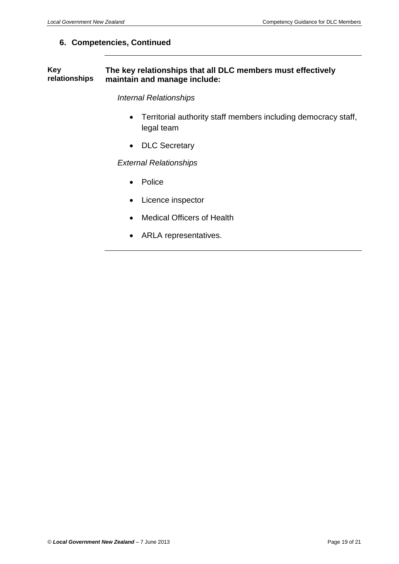#### **Key relationships The key relationships that all DLC members must effectively maintain and manage include:**

#### *Internal Relationships*

- Territorial authority staff members including democracy staff, legal team
- DLC Secretary

#### *External Relationships*

- Police
- Licence inspector
- Medical Officers of Health
- ARLA representatives.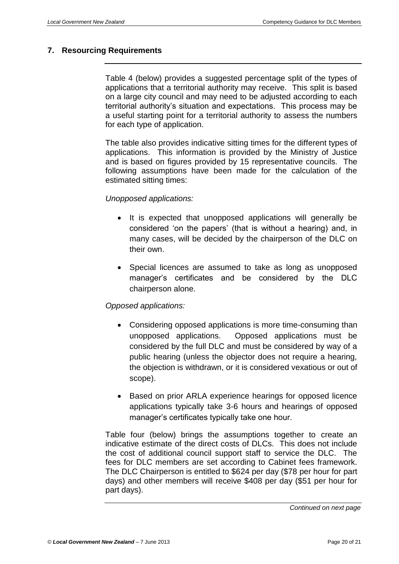#### <span id="page-19-0"></span>**7. Resourcing Requirements**

Table 4 (below) provides a suggested percentage split of the types of applications that a territorial authority may receive. This split is based on a large city council and may need to be adjusted according to each territorial authority's situation and expectations. This process may be a useful starting point for a territorial authority to assess the numbers for each type of application.

The table also provides indicative sitting times for the different types of applications. This information is provided by the Ministry of Justice and is based on figures provided by 15 representative councils. The following assumptions have been made for the calculation of the estimated sitting times:

#### *Unopposed applications:*

- It is expected that unopposed applications will generally be considered 'on the papers' (that is without a hearing) and, in many cases, will be decided by the chairperson of the DLC on their own.
- Special licences are assumed to take as long as unopposed manager's certificates and be considered by the DLC chairperson alone.

#### *Opposed applications:*

- Considering opposed applications is more time-consuming than unopposed applications. Opposed applications must be considered by the full DLC and must be considered by way of a public hearing (unless the objector does not require a hearing, the objection is withdrawn, or it is considered vexatious or out of scope).
- Based on prior ARLA experience hearings for opposed licence applications typically take 3-6 hours and hearings of opposed manager's certificates typically take one hour.

Table four (below) brings the assumptions together to create an indicative estimate of the direct costs of DLCs. This does not include the cost of additional council support staff to service the DLC. The fees for DLC members are set according to Cabinet fees framework. The DLC Chairperson is entitled to \$624 per day (\$78 per hour for part days) and other members will receive \$408 per day (\$51 per hour for part days).